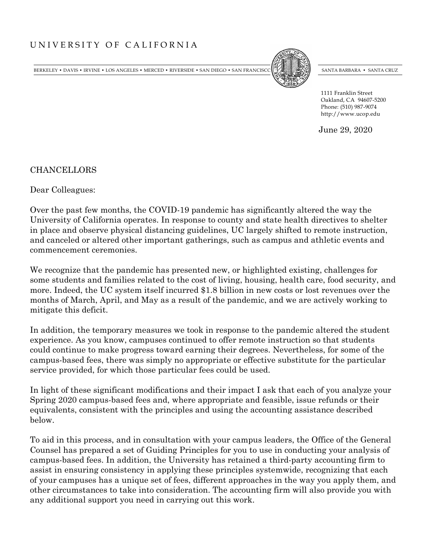BERKELEY • DAVIS • IRVINE • LOS ANGELES • MERCED • RIVERSIDE • SAN DIEGO • SAN FRANCISCO SANTA BARBARA • SANTA BARBARA • SANTA CRUZ



1111 Franklin Street Oakland, CA 94607-5200 Phone: (510) 987-9074 http://www.ucop.edu

June 29, 2020

CHANCELLORS

Dear Colleagues:

Over the past few months, the COVID-19 pandemic has significantly altered the way the University of California operates. In response to county and state health directives to shelter in place and observe physical distancing guidelines, UC largely shifted to remote instruction, and canceled or altered other important gatherings, such as campus and athletic events and commencement ceremonies.

We recognize that the pandemic has presented new, or highlighted existing, challenges for some students and families related to the cost of living, housing, health care, food security, and more. Indeed, the UC system itself incurred \$1.8 billion in new costs or lost revenues over the months of March, April, and May as a result of the pandemic, and we are actively working to mitigate this deficit.

In addition, the temporary measures we took in response to the pandemic altered the student experience. As you know, campuses continued to offer remote instruction so that students could continue to make progress toward earning their degrees. Nevertheless, for some of the campus-based fees, there was simply no appropriate or effective substitute for the particular service provided, for which those particular fees could be used.

In light of these significant modifications and their impact I ask that each of you analyze your Spring 2020 campus-based fees and, where appropriate and feasible, issue refunds or their equivalents, consistent with the principles and using the accounting assistance described below.

To aid in this process, and in consultation with your campus leaders, the Office of the General Counsel has prepared a set of Guiding Principles for you to use in conducting your analysis of campus-based fees. In addition, the University has retained a third-party accounting firm to assist in ensuring consistency in applying these principles systemwide, recognizing that each of your campuses has a unique set of fees, different approaches in the way you apply them, and other circumstances to take into consideration. The accounting firm will also provide you with any additional support you need in carrying out this work.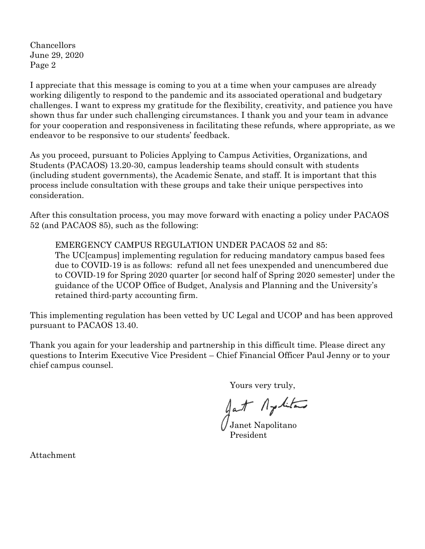Chancellors June 29, 2020 Page 2

I appreciate that this message is coming to you at a time when your campuses are already working diligently to respond to the pandemic and its associated operational and budgetary challenges. I want to express my gratitude for the flexibility, creativity, and patience you have shown thus far under such challenging circumstances. I thank you and your team in advance for your cooperation and responsiveness in facilitating these refunds, where appropriate, as we endeavor to be responsive to our students' feedback.

As you proceed, pursuant to Policies Applying to Campus Activities, Organizations, and Students (PACAOS) 13.20-30, campus leadership teams should consult with students (including student governments), the Academic Senate, and staff. It is important that this process include consultation with these groups and take their unique perspectives into consideration.

After this consultation process, you may move forward with enacting a policy under PACAOS 52 (and PACAOS 85), such as the following:

EMERGENCY CAMPUS REGULATION UNDER PACAOS 52 and 85: The UC[campus] implementing regulation for reducing mandatory campus based fees due to COVID-19 is as follows: refund all net fees unexpended and unencumbered due to COVID-19 for Spring 2020 quarter [or second half of Spring 2020 semester] under the guidance of the UCOP Office of Budget, Analysis and Planning and the University's retained third-party accounting firm.

This implementing regulation has been vetted by UC Legal and UCOP and has been approved pursuant to PACAOS 13.40.

Thank you again for your leadership and partnership in this difficult time. Please direct any questions to Interim Executive Vice President – Chief Financial Officer Paul Jenny or to your chief campus counsel.

Yours very truly,

gat Aptitud

 $\mathcal{J}_{\text{Janet Napolitano}}$ President

Attachment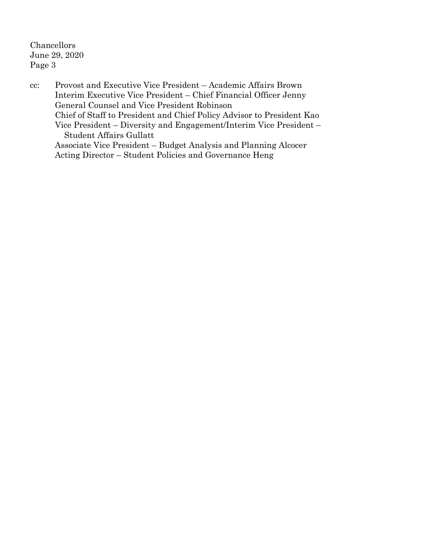Chancellors June 29, 2020 Page 3

cc: Provost and Executive Vice President – Academic Affairs Brown Interim Executive Vice President – Chief Financial Officer Jenny General Counsel and Vice President Robinson Chief of Staff to President and Chief Policy Advisor to President Kao Vice President – Diversity and Engagement/Interim Vice President – Student Affairs Gullatt Associate Vice President – Budget Analysis and Planning Alcocer Acting Director – Student Policies and Governance Heng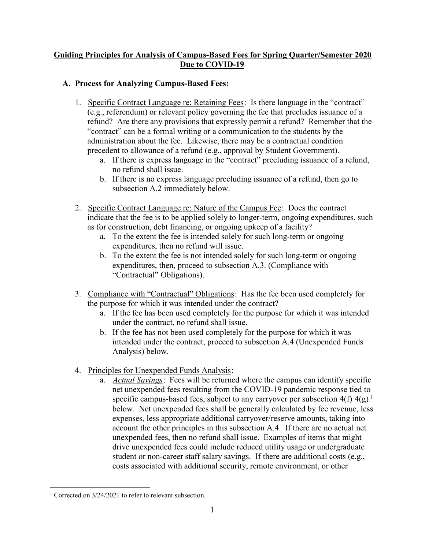## <sup>U</sup>**Guiding Principles for Analysis of Campus-Based Fees for Spring Quarter/Semester 2020 Due to COVID-19**

## **A. Process for Analyzing Campus-Based Fees:**

- 1. Specific Contract Language re: Retaining Fees: Is there language in the "contract" (e.g., referendum) or relevant policy governing the fee that precludes issuance of a refund? Are there any provisions that expressly permit a refund? Remember that the "contract" can be a formal writing or a communication to the students by the administration about the fee. Likewise, there may be a contractual condition precedent to allowance of a refund (e.g., approval by Student Government).
	- a. If there is express language in the "contract" precluding issuance of a refund, no refund shall issue.
	- b. If there is no express language precluding issuance of a refund, then go to subsection A.2 immediately below.
- 2. Specific Contract Language re: Nature of the Campus Fee: Does the contract indicate that the fee is to be applied solely to longer-term, ongoing expenditures, such as for construction, debt financing, or ongoing upkeep of a facility?
	- a. To the extent the fee is intended solely for such long-term or ongoing expenditures, then no refund will issue.
	- b. To the extent the fee is not intended solely for such long-term or ongoing expenditures, then, proceed to subsection A.3. (Compliance with "Contractual" Obligations).
- 3. Compliance with "Contractual" Obligations: Has the fee been used completely for the purpose for which it was intended under the contract?
	- a. If the fee has been used completely for the purpose for which it was intended under the contract, no refund shall issue.
	- b. If the fee has not been used completely for the purpose for which it was intended under the contract, proceed to subsection A.4 (Unexpended Funds Analysis) below.
- 4. Principles for Unexpended Funds Analysis:
	- a. *Actual Savings*: Fees will be returned where the campus can identify specific net unexpended fees resulting from the COVID-19 pandemic response tied to specific campus-based fees, subject to any carryover per subsection  $4(f)$   $4(g)^{1}$ . below. Net unexpended fees shall be generally calculated by fee revenue, less expenses, less appropriate additional carryover/reserve amounts, taking into account the other principles in this subsection A.4. If there are no actual net unexpended fees, then no refund shall issue. Examples of items that might drive unexpended fees could include reduced utility usage or undergraduate student or non-career staff salary savings. If there are additional costs (e.g., costs associated with additional security, remote environment, or other

<sup>&</sup>lt;sup>1</sup> Corrected on  $3/24/2021$  to refer to relevant subsection.